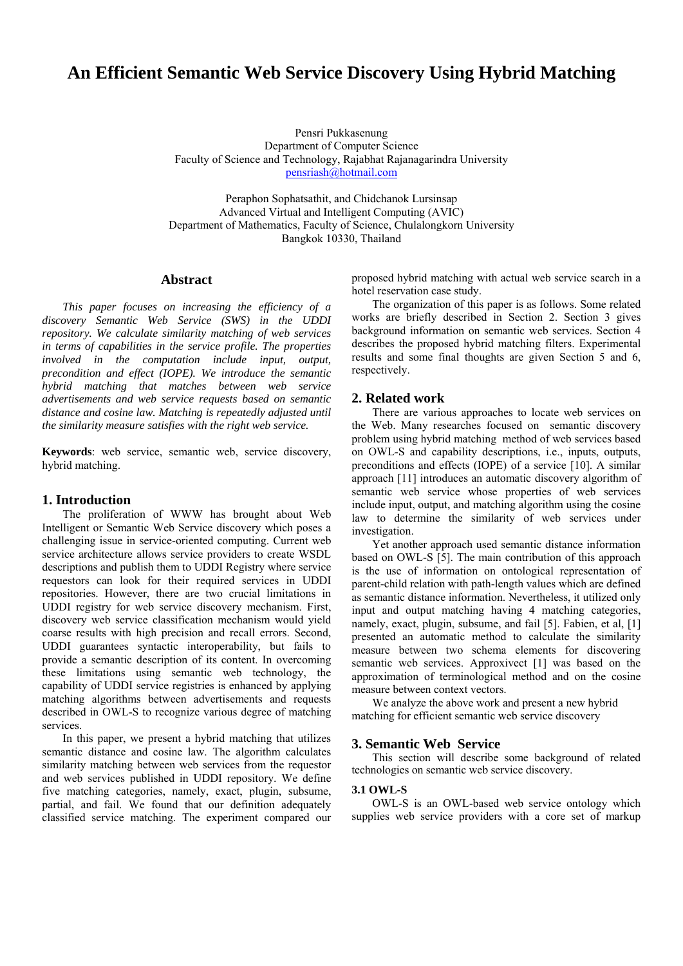# **An Efficient Semantic Web Service Discovery Using Hybrid Matching**

Pensri Pukkasenung Department of Computer Science Faculty of Science and Technology, Rajabhat Rajanagarindra University [pensriash@hotmail.com](mailto:pensriash@hotmail.com)

Peraphon Sophatsathit, and Chidchanok Lursinsap Advanced Virtual and Intelligent Computing (AVIC) Department of Mathematics, Faculty of Science, Chulalongkorn University Bangkok 10330, Thailand

# **Abstract**

*This paper focuses on increasing the efficiency of a discovery Semantic Web Service (SWS) in the UDDI repository. We calculate similarity matching of web services in terms of capabilities in the service profile. The properties involved in the computation include input, output, precondition and effect (IOPE). We introduce the semantic hybrid matching that matches between web service advertisements and web service requests based on semantic distance and cosine law. Matching is repeatedly adjusted until the similarity measure satisfies with the right web service.* 

**Keywords**: web service, semantic web, service discovery, hybrid matching.

# **1. Introduction**

The proliferation of WWW has brought about Web Intelligent or Semantic Web Service discovery which poses a challenging issue in service-oriented computing. Current web service architecture allows service providers to create WSDL descriptions and publish them to UDDI Registry where service requestors can look for their required services in UDDI repositories. However, there are two crucial limitations in UDDI registry for web service discovery mechanism. First, discovery web service classification mechanism would yield coarse results with high precision and recall errors. Second, UDDI guarantees syntactic interoperability, but fails to provide a semantic description of its content. In overcoming these limitations using semantic web technology, the capability of UDDI service registries is enhanced by applying matching algorithms between advertisements and requests described in OWL-S to recognize various degree of matching services.

 In this paper, we present a hybrid matching that utilizes semantic distance and cosine law. The algorithm calculates similarity matching between web services from the requestor and web services published in UDDI repository. We define five matching categories, namely, exact, plugin, subsume, partial, and fail. We found that our definition adequately classified service matching. The experiment compared our

proposed hybrid matching with actual web service search in a hotel reservation case study.

 The organization of this paper is as follows. Some related works are briefly described in Section 2. Section 3 gives background information on semantic web services. Section 4 describes the proposed hybrid matching filters. Experimental results and some final thoughts are given Section 5 and 6, respectively.

# **2. Related work**

 There are various approaches to locate web services on the Web. Many researches focused on semantic discovery problem using hybrid matching method of web services based on OWL-S and capability descriptions, i.e., inputs, outputs, preconditions and effects (IOPE) of a service [10]. A similar approach [11] introduces an automatic discovery algorithm of semantic web service whose properties of web services include input, output, and matching algorithm using the cosine law to determine the similarity of web services under investigation.

 Yet another approach used semantic distance information based on OWL-S [5]. The main contribution of this approach is the use of information on ontological representation of parent-child relation with path-length values which are defined as semantic distance information. Nevertheless, it utilized only input and output matching having 4 matching categories, namely, exact, plugin, subsume, and fail [5]. Fabien, et al, [1] presented an automatic method to calculate the similarity measure between two schema elements for discovering semantic web services. Approxivect [1] was based on the approximation of terminological method and on the cosine measure between context vectors.

We analyze the above work and present a new hybrid matching for efficient semantic web service discovery

### **3. Semantic Web Service**

 This section will describe some background of related technologies on semantic web service discovery.

## **3.1 OWL-S**

OWL-S is an OWL-based web service ontology which supplies web service providers with a core set of markup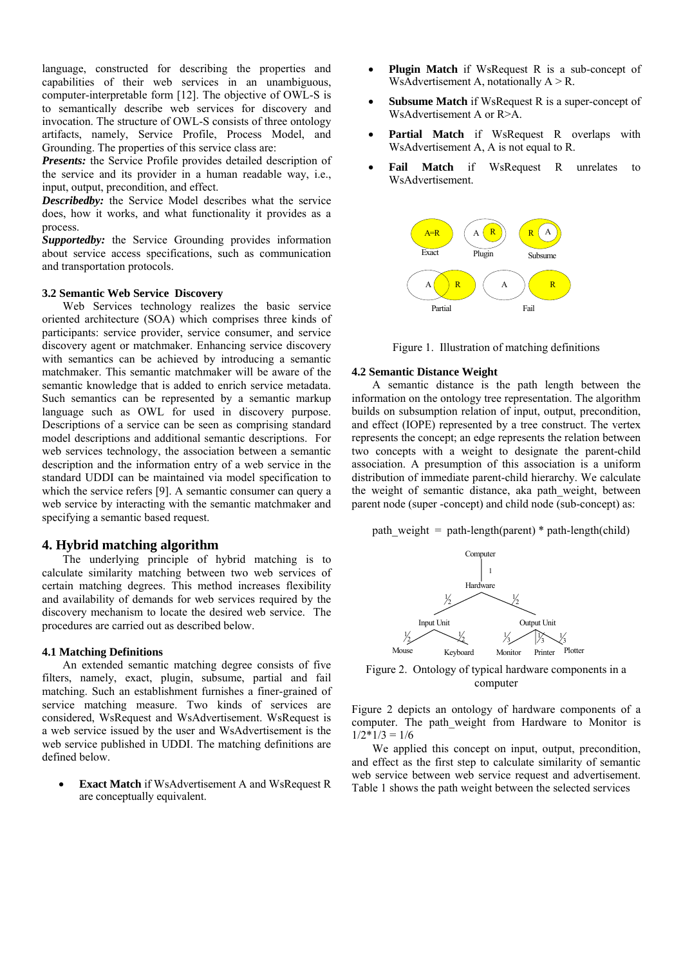language, constructed for describing the properties and capabilities of their web services in an unambiguous, computer-interpretable form [12]. The objective of OWL-S is to semantically describe web services for discovery and invocation. The structure of OWL-S consists of three ontology artifacts, namely, Service Profile, Process Model, and Grounding. The properties of this service class are:

*Presents:* the Service Profile provides detailed description of the service and its provider in a human readable way, i.e., input, output, precondition, and effect.

*Describedby:* the Service Model describes what the service does, how it works, and what functionality it provides as a process.

*Supportedby:* the Service Grounding provides information about service access specifications, such as communication and transportation protocols.

#### **3.2 Semantic Web Service Discovery**

Web Services technology realizes the basic service oriented architecture (SOA) which comprises three kinds of participants: service provider, service consumer, and service discovery agent or matchmaker. Enhancing service discovery with semantics can be achieved by introducing a semantic matchmaker. This semantic matchmaker will be aware of the semantic knowledge that is added to enrich service metadata. Such semantics can be represented by a semantic markup language such as OWL for used in discovery purpose. Descriptions of a service can be seen as comprising standard model descriptions and additional semantic descriptions. For web services technology, the association between a semantic description and the information entry of a web service in the standard UDDI can be maintained via model specification to which the service refers [9]. A semantic consumer can query a web service by interacting with the semantic matchmaker and specifying a semantic based request.

# **4. Hybrid matching algorithm**

The underlying principle of hybrid matching is to calculate similarity matching between two web services of certain matching degrees. This method increases flexibility and availability of demands for web services required by the discovery mechanism to locate the desired web service. The procedures are carried out as described below.

#### **4.1 Matching Definitions**

 An extended semantic matching degree consists of five filters, namely, exact, plugin, subsume, partial and fail matching. Such an establishment furnishes a finer-grained of service matching measure. Two kinds of services are considered, WsRequest and WsAdvertisement. WsRequest is a web service issued by the user and WsAdvertisement is the web service published in UDDI. The matching definitions are defined below.

**Exact Match** if WsAdvertisement A and WsRequest R are conceptually equivalent.

- **Plugin Match** if WsRequest R is a sub-concept of WsAdvertisement A, notationally  $A > R$ .
- **Subsume Match** if WsRequest R is a super-concept of WsAdvertisement A or R>A.
- Partial Match if WsRequest R overlaps with WsAdvertisement A, A is not equal to R.
- **Fail Match** if WsRequest R unrelates to WsAdvertisement.





# **4.2 Semantic Distance Weight**

A semantic distance is the path length between the information on the ontology tree representation. The algorithm builds on subsumption relation of input, output, precondition, and effect (IOPE) represented by a tree construct. The vertex represents the concept; an edge represents the relation between two concepts with a weight to designate the parent-child association. A presumption of this association is a uniform distribution of immediate parent-child hierarchy. We calculate the weight of semantic distance, aka path weight, between parent node (super -concept) and child node (sub-concept) as:

path weight = path-length(parent) \* path-length(child)



Figure 2. Ontology of typical hardware components in a computer

Figure 2 depicts an ontology of hardware components of a computer. The path\_weight from Hardware to Monitor is  $1/2*1/3 = 1/6$ 

 We applied this concept on input, output, precondition, and effect as the first step to calculate similarity of semantic web service between web service request and advertisement. Table 1 shows the path weight between the selected services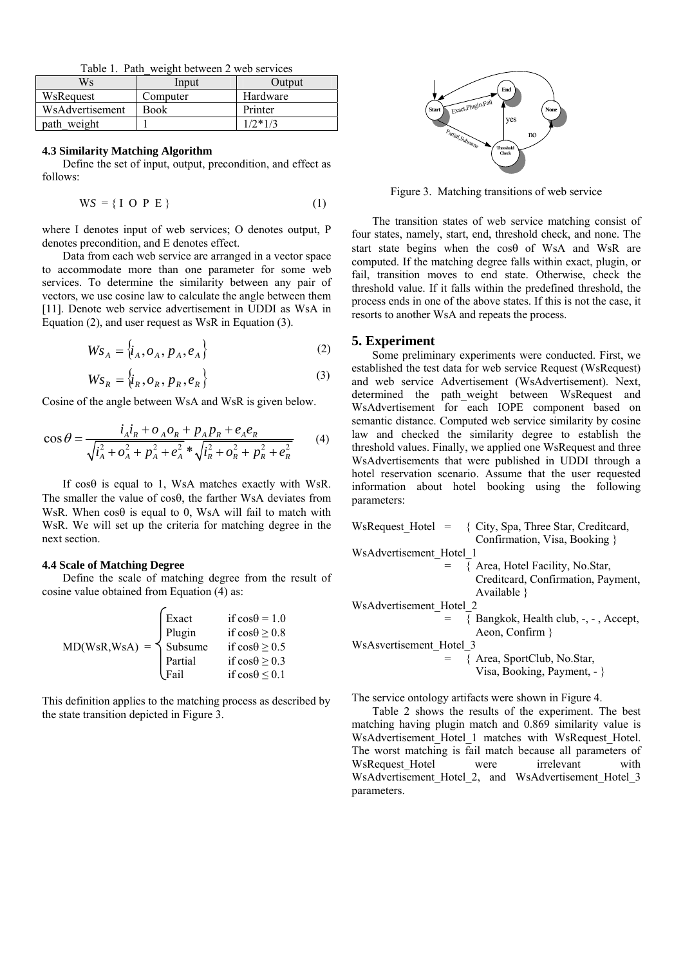Table 1. Path\_weight between 2 web services

| Ws              | Input    | Output    |  |  |  |  |
|-----------------|----------|-----------|--|--|--|--|
| WsRequest       | Computer | Hardware  |  |  |  |  |
| WsAdvertisement | Book     | Printer   |  |  |  |  |
| path_weight     |          | $1/2*1/3$ |  |  |  |  |

#### **4.3 Similarity Matching Algorithm**

 Define the set of input, output, precondition, and effect as follows:

$$
WS = \{ I \space O \space P \space E \} \tag{1}
$$

where I denotes input of web services; O denotes output, P denotes precondition, and E denotes effect.

Data from each web service are arranged in a vector space to accommodate more than one parameter for some web services. To determine the similarity between any pair of vectors, we use cosine law to calculate the angle between them [11]. Denote web service advertisement in UDDI as WsA in Equation (2), and user request as WsR in Equation (3).

$$
W_{S_A} = \{i_A, o_A, p_A, e_A\}
$$
 (2)

$$
W_{S_R} = \left\{i_R, o_R, p_R, e_R\right\} \tag{3}
$$

Cosine of the angle between WsA and WsR is given below.

$$
\cos \theta = \frac{i_A i_R + o_A o_R + p_A p_R + e_A e_R}{\sqrt{i_A^2 + o_A^2 + p_A^2 + e_A^2} * \sqrt{i_R^2 + o_R^2 + p_R^2 + e_R^2}}
$$
(4)

If  $cos\theta$  is equal to 1, WsA matches exactly with WsR. The smaller the value of cosθ, the farther WsA deviates from WsR. When  $\cos\theta$  is equal to 0, WsA will fail to match with WsR. We will set up the criteria for matching degree in the next section.

#### **4.4 Scale of Matching Degree**

 Define the scale of matching degree from the result of cosine value obtained from Equation (4) as:

|                             | Exact          | if $cos\theta = 1.0$     |
|-----------------------------|----------------|--------------------------|
|                             | Plugin         | if $cos\theta \ge 0.8$   |
| $MD(WsR, WsA) = \{$ Subsume |                | if $cos\theta \ge 0.5$   |
|                             | <b>Partial</b> | if $\cos\theta \ge 0.3$  |
|                             | <i>Fail</i>    | if $\cos\theta \leq 0.1$ |

This definition applies to the matching process as described by the state transition depicted in Figure 3.



Figure 3. Matching transitions of web service

The transition states of web service matching consist of four states, namely, start, end, threshold check, and none. The start state begins when the cosθ of WsA and WsR are computed. If the matching degree falls within exact, plugin, or fail, transition moves to end state. Otherwise, check the threshold value. If it falls within the predefined threshold, the process ends in one of the above states. If this is not the case, it resorts to another WsA and repeats the process.

#### **5. Experiment**

Some preliminary experiments were conducted. First, we established the test data for web service Request (WsRequest) and web service Advertisement (WsAdvertisement). Next, determined the path\_weight between WsRequest and WsAdvertisement for each IOPE component based on semantic distance. Computed web service similarity by cosine law and checked the similarity degree to establish the threshold values. Finally, we applied one WsRequest and three WsAdvertisements that were published in UDDI through a hotel reservation scenario. Assume that the user requested information about hotel booking using the following parameters:

| WsRequest Hotel = { City, Spa, Three Star, Creditcard, |
|--------------------------------------------------------|
| Confirmation, Visa, Booking }                          |
| WsAdvertisement Hotel 1                                |
| $= \{$ Area, Hotel Facility, No.Star,                  |
| Creditcard, Confirmation, Payment,                     |
| Available $\}$                                         |
| WsAdvertisement Hotel 2                                |
| $=$ {Bangkok, Health club, $-$ , $-$ , Accept,         |
| Aeon, Confirm $\}$                                     |
| WsAsvertisement Hotel 3                                |
| $=$ { Area, SportClub, No.Star,                        |
| Visa, Booking, Payment, - }                            |
|                                                        |

The service ontology artifacts were shown in Figure 4.

Table 2 shows the results of the experiment. The best matching having plugin match and 0.869 similarity value is WsAdvertisement Hotel 1 matches with WsRequest Hotel. The worst matching is fail match because all parameters of WsRequest Hotel were irrelevant with WsAdvertisement Hotel 2, and WsAdvertisement Hotel 3 parameters.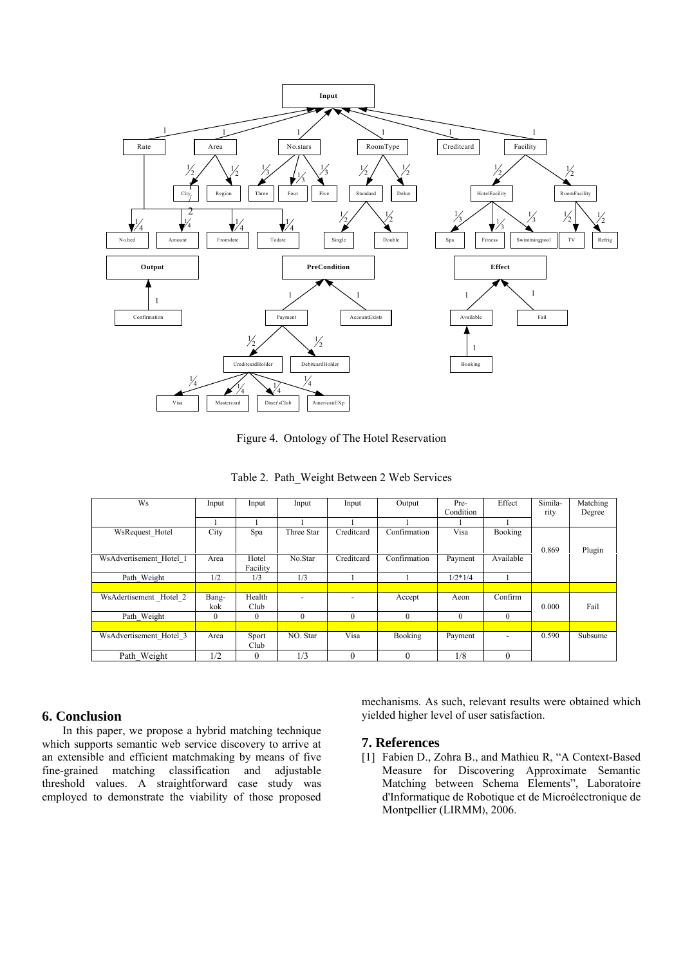

Figure 4. Ontology of The Hotel Reservation

| Table 2. Path_Weight Between 2 Web Services |  |  |  |  |  |  |
|---------------------------------------------|--|--|--|--|--|--|
|---------------------------------------------|--|--|--|--|--|--|

| Ws                      | Input    | Input             | Input      | Input      | Output       | Pre-      | Effect    | Simila- | Matching |
|-------------------------|----------|-------------------|------------|------------|--------------|-----------|-----------|---------|----------|
|                         |          |                   |            |            |              | Condition |           | rity    | Degree   |
|                         |          |                   |            |            |              |           |           |         |          |
| WsRequest Hotel         | City     | Spa               | Three Star | Creditcard | Confirmation | Visa      | Booking   |         |          |
|                         |          |                   |            |            |              |           |           | 0.869   | Plugin   |
| WsAdvertisement Hotel 1 | Area     | Hotel<br>Facility | No.Star    | Creditcard | Confirmation | Payment   | Available |         |          |
| Path Weight             | 1/2      | 1/3               | 1/3        |            |              | $1/2*1/4$ |           |         |          |
|                         |          |                   |            |            |              |           |           |         |          |
| WsAdertisement Hotel 2  | Bang-    | Health            |            |            | Accept       | Aeon      | Confirm   |         |          |
|                         | kok      | Club              |            |            |              |           |           | 0.000   | Fail     |
| Path Weight             | $\theta$ | $\Omega$          | $\theta$   | $\Omega$   | $\theta$     | $\theta$  | $\theta$  |         |          |
|                         |          |                   |            |            |              |           |           |         |          |
| WsAdvertisement Hotel 3 | Area     | Sport<br>Club     | NO. Star   | Visa       | Booking      | Payment   | ٠         | 0.590   | Subsume  |
| Path Weight             | 1/2      | $\theta$          | 1/3        | $\theta$   | 0            | 1/8       | $\theta$  |         |          |

# **6. Conclusion**

In this paper, we propose a hybrid matching technique which supports semantic web service discovery to arrive at an extensible and efficient matchmaking by means of five fine-grained matching classification and adjustable threshold values. A straightforward case study was employed to demonstrate the viability of those proposed

mechanisms. As such, relevant results were obtained which yielded higher level of user satisfaction.

# **7. References**

[1] Fabien D., Zohra B., and Mathieu R, "A Context-Based Measure for Discovering Approximate Semantic Matching between Schema Elements", [Laboratoire](http://hal-lirmm.ccsd.cnrs.fr/index.php?action_todo=search&s_type=advanced&submit=1&p_0=is_exactly&f_0=LABID&halsid=mj20a69bkgu2tkroa7upl7b984&v_0=181)  [d'Informatique de Robotique et de Microélectronique de](http://hal-lirmm.ccsd.cnrs.fr/index.php?action_todo=search&s_type=advanced&submit=1&p_0=is_exactly&f_0=LABID&halsid=mj20a69bkgu2tkroa7upl7b984&v_0=181)  [Montpellier \(LIRMM](http://hal-lirmm.ccsd.cnrs.fr/index.php?action_todo=search&s_type=advanced&submit=1&p_0=is_exactly&f_0=LABID&halsid=mj20a69bkgu2tkroa7upl7b984&v_0=181)), 2006.